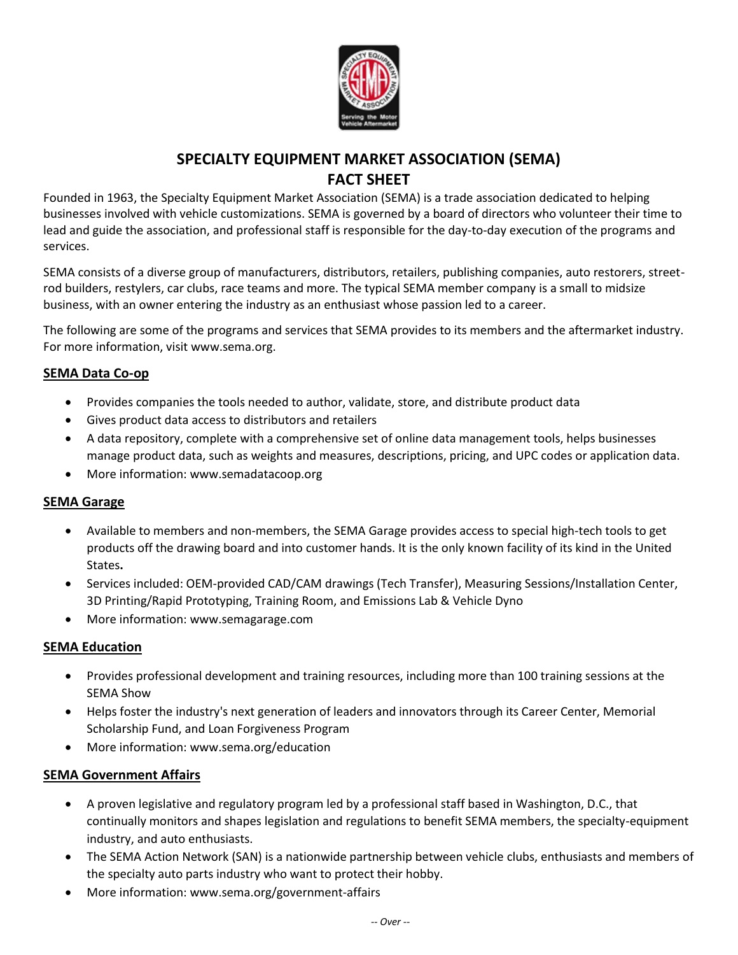

# **SPECIALTY EQUIPMENT MARKET ASSOCIATION (SEMA) FACT SHEET**

Founded in 1963, the Specialty Equipment Market Association (SEMA) is a trade association dedicated to helping businesses involved with vehicle customizations. SEMA is governed by a board of directors who volunteer their time to lead and guide the association, and professional staff is responsible for the day-to-day execution of the programs and services.

SEMA consists of a diverse group of manufacturers, distributors, retailers, publishing companies, auto restorers, streetrod builders, restylers, car clubs, race teams and more. The typical SEMA member company is a small to midsize business, with an owner entering the industry as an enthusiast whose passion led to a career.

The following are some of the programs and services that SEMA provides to its members and the aftermarket industry. For more information, visi[t www.sema.org.](http://www.sema.org/)

## **SEMA Data Co-op**

- Provides companies the tools needed to author, validate, store, and distribute product data
- Gives product data access to distributors and retailers
- A data repository, complete with a comprehensive set of online data management tools, helps businesses manage product data, such as weights and measures, descriptions, pricing, and UPC codes or application data.
- More information[: www.semadatacoop.org](http://www.semadatacoop.org/)

#### **SEMA Garage**

- Available to members and non-members, the SEMA Garage provides access to special high-tech tools to get products off the drawing board and into customer hands. It is the only known facility of its kind in the United States**.**
- Services included: OEM-provided CAD/CAM drawings (Tech Transfer), Measuring Sessions/Installation Center, 3D Printing/Rapid Prototyping, Training Room, and Emissions Lab & Vehicle Dyno
- More information[: www.semagarage.com](http://www.semagarage.com/)

#### **SEMA Education**

- Provides professional development and training resources, including more than 100 training sessions at the SEMA Show
- Helps foster the industry's next generation of leaders and innovators through its Career Center, Memorial Scholarship Fund, and Loan Forgiveness Program
- More information[: www.sema.org/education](http://www.sema.org/education)

## **SEMA Government Affairs**

- A proven legislative and regulatory program led by a professional staff based in Washington, D.C., that continually monitors and shapes legislation and regulations to benefit SEMA members, the specialty-equipment industry, and auto enthusiasts.
- The SEMA Action Network (SAN) is a nationwide partnership between vehicle clubs, enthusiasts and members of the specialty auto parts industry who want to protect their hobby.
- More information[: www.sema.org/government-affairs](http://www.sema.org/government-affairs)